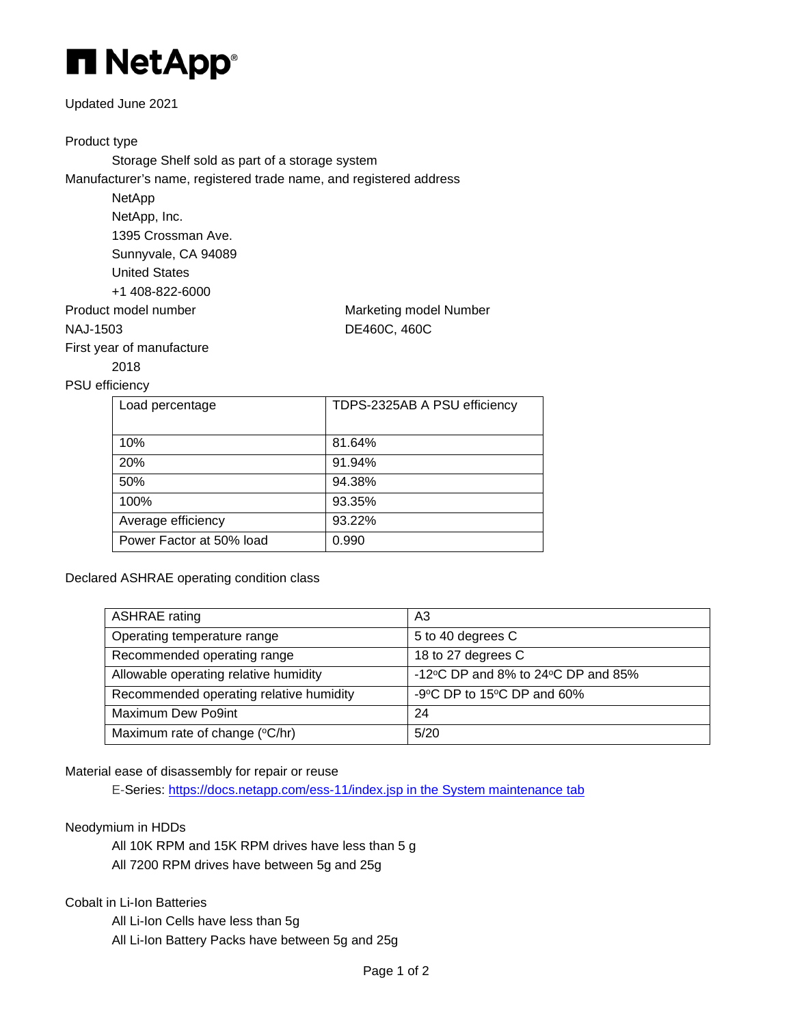

## Updated June 2021

# Product type

Storage Shelf sold as part of a storage system Manufacturer's name, registered trade name, and registered address

> NetApp NetApp, Inc. 1395 Crossman Ave. Sunnyvale, CA 94089 United States +1 408-822-6000

First year of manufacture 2018

Product model number Marketing model Number NAJ-1503 DE460C, 460C

## PSU efficiency

| Load percentage          | TDPS-2325AB A PSU efficiency |
|--------------------------|------------------------------|
| 10%                      | 81.64%                       |
| 20%                      | 91.94%                       |
| 50%                      | 94.38%                       |
| 100%                     | 93.35%                       |
| Average efficiency       | 93.22%                       |
| Power Factor at 50% load | 0.990                        |

Declared ASHRAE operating condition class

| <b>ASHRAE</b> rating                    | A3                                                     |
|-----------------------------------------|--------------------------------------------------------|
| Operating temperature range             | 5 to 40 degrees C                                      |
| Recommended operating range             | 18 to 27 degrees C                                     |
| Allowable operating relative humidity   | -12 $\degree$ C DP and 8% to 24 $\degree$ C DP and 85% |
| Recommended operating relative humidity | -9°C DP to 15°C DP and 60%                             |
| Maximum Dew Po9int                      | 24                                                     |
| Maximum rate of change (°C/hr)          | 5/20                                                   |

## Material ease of disassembly for repair or reuse

E-Series:<https://docs.netapp.com/ess-11/index.jsp> in the System maintenance tab

## Neodymium in HDDs

All 10K RPM and 15K RPM drives have less than 5 g All 7200 RPM drives have between 5g and 25g

## Cobalt in Li-Ion Batteries

All Li-Ion Cells have less than 5g All Li-Ion Battery Packs have between 5g and 25g